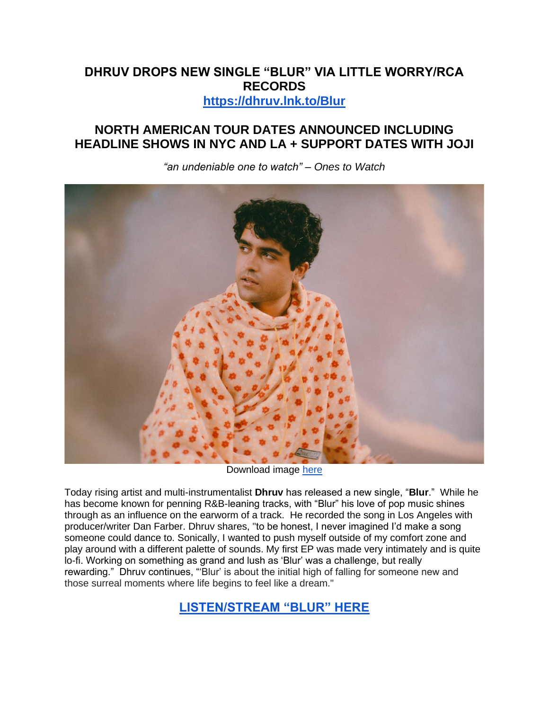## **DHRUV DROPS NEW SINGLE "BLUR" VIA LITTLE WORRY/RCA RECORDS [https://dhruv.lnk.to/Blur](https://eur01.safelinks.protection.outlook.com/?url=https%3A%2F%2Fdhruv.lnk.to%2FBlur&data=05%7C01%7Cnoelle.janasiewicz.sme%40sonymusic.com%7C03fb8e6adb2047b0260108da54735ed1%7Cf0aff3b791a54aaeaf71c63e1dda2049%7C0%7C0%7C637915151730964321%7CUnknown%7CTWFpbGZsb3d8eyJWIjoiMC4wLjAwMDAiLCJQIjoiV2luMzIiLCJBTiI6Ik1haWwiLCJXVCI6Mn0%3D%7C3000%7C%7C%7C&sdata=WUvCl%2BPlu9JPMNxmi6wsA4yNYgOHhqn774aXkxb6z6Y%3D&reserved=0)**

# **NORTH AMERICAN TOUR DATES ANNOUNCED INCLUDING HEADLINE SHOWS IN NYC AND LA + SUPPORT DATES WITH JOJI**



*"an undeniable one to watch" – Ones to Watch*

Download image [here](https://eur01.safelinks.protection.outlook.com/?url=https%3A%2F%2Fdrive.google.com%2Ffile%2Fd%2F1-wZd31ncNAcZ5RGFIhFQazHh6d3kn8FG%2Fview%3Fusp%3Dsharing&data=05%7C01%7Cnoelle.janasiewicz.sme%40sonymusic.com%7C03fb8e6adb2047b0260108da54735ed1%7Cf0aff3b791a54aaeaf71c63e1dda2049%7C0%7C0%7C637915151730964321%7CUnknown%7CTWFpbGZsb3d8eyJWIjoiMC4wLjAwMDAiLCJQIjoiV2luMzIiLCJBTiI6Ik1haWwiLCJXVCI6Mn0%3D%7C3000%7C%7C%7C&sdata=9VMGQTawlxDZZZj%2Bmsi3SCXDpdYEspAhQw86wmJwh90%3D&reserved=0)

Today rising artist and multi-instrumentalist **Dhruv** has released a new single, "**Blur**." While he has become known for penning R&B-leaning tracks, with "Blur" his love of pop music shines through as an influence on the earworm of a track. He recorded the song in Los Angeles with producer/writer Dan Farber. Dhruv shares, "to be honest, I never imagined I'd make a song someone could dance to. Sonically, I wanted to push myself outside of my comfort zone and play around with a different palette of sounds. My first EP was made very intimately and is quite lo-fi. Working on something as grand and lush as 'Blur' was a challenge, but really rewarding." Dhruv continues, "'Blur' is about the initial high of falling for someone new and those surreal moments where life begins to feel like a dream."

**[LISTEN/STREAM "BLUR" HERE](https://eur01.safelinks.protection.outlook.com/?url=https%3A%2F%2Fdhruv.lnk.to%2FBlur&data=05%7C01%7Cnoelle.janasiewicz.sme%40sonymusic.com%7C03fb8e6adb2047b0260108da54735ed1%7Cf0aff3b791a54aaeaf71c63e1dda2049%7C0%7C0%7C637915151730964321%7CUnknown%7CTWFpbGZsb3d8eyJWIjoiMC4wLjAwMDAiLCJQIjoiV2luMzIiLCJBTiI6Ik1haWwiLCJXVCI6Mn0%3D%7C3000%7C%7C%7C&sdata=WUvCl%2BPlu9JPMNxmi6wsA4yNYgOHhqn774aXkxb6z6Y%3D&reserved=0)**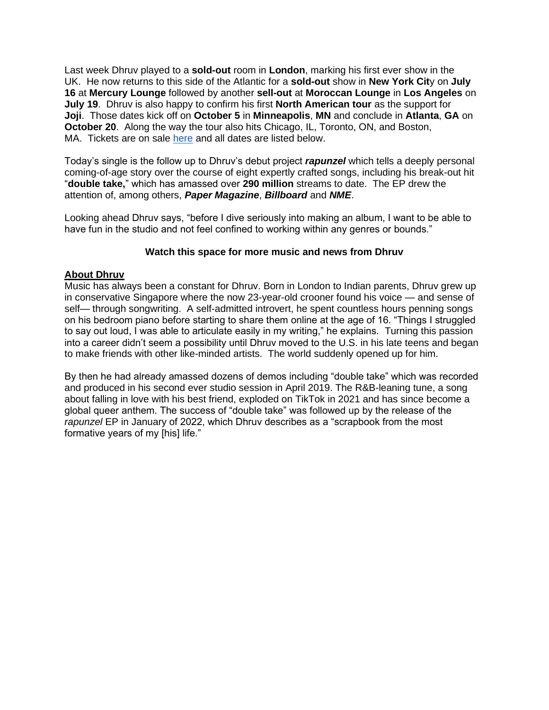Last week Dhruv played to a **sold-out** room in **London**, marking his first ever show in the UK. He now returns to this side of the Atlantic for a **sold-out** show in **New York Cit**y on **July 16** at **Mercury Lounge** followed by another **sell-out** at **Moroccan Lounge** in **Los Angeles** on **July 19**. Dhruv is also happy to confirm his first **North American tour** as the support for **Joji**. Those dates kick off on **October 5** in **Minneapolis**, **MN** and conclude in **Atlanta**, **GA** on **October 20**. Along the way the tour also hits Chicago, IL, Toronto, ON, and Boston, MA. Tickets are on sale [here](https://eur01.safelinks.protection.outlook.com/?url=https%3A%2F%2Fdhrvie.com%2Fshows%2F&data=05%7C01%7Cnoelle.janasiewicz.sme%40sonymusic.com%7C03fb8e6adb2047b0260108da54735ed1%7Cf0aff3b791a54aaeaf71c63e1dda2049%7C0%7C0%7C637915151730964321%7CUnknown%7CTWFpbGZsb3d8eyJWIjoiMC4wLjAwMDAiLCJQIjoiV2luMzIiLCJBTiI6Ik1haWwiLCJXVCI6Mn0%3D%7C3000%7C%7C%7C&sdata=wje8N4f0e9liBhrJKg9tTUjt36cUvevZyHGvJnu09yY%3D&reserved=0) and all dates are listed below.

Today's single is the follow up to Dhruv's debut project *rapunzel* which tells a deeply personal coming-of-age story over the course of eight expertly crafted songs, including his break-out hit "**double take,**" which has amassed over **290 million** streams to date. The EP drew the attention of, among others, *Paper Magazine*, *Billboard* and *NME*.

Looking ahead Dhruv says, "before I dive seriously into making an album, I want to be able to have fun in the studio and not feel confined to working within any genres or bounds."

#### **Watch this space for more music and news from Dhruv**

#### **About Dhruv**

Music has always been a constant for Dhruv. Born in London to Indian parents, Dhruv grew up in conservative Singapore where the now 23-year-old crooner found his voice — and sense of self— through songwriting. A self-admitted introvert, he spent countless hours penning songs on his bedroom piano before starting to share them online at the age of 16. "Things I struggled to say out loud, I was able to articulate easily in my writing," he explains. Turning this passion into a career didn't seem a possibility until Dhruv moved to the U.S. in his late teens and began to make friends with other like-minded artists. The world suddenly opened up for him.

By then he had already amassed dozens of demos including "double take" which was recorded and produced in his second ever studio session in April 2019. The R&B-leaning tune, a song about falling in love with his best friend, exploded on TikTok in 2021 and has since become a global queer anthem. The success of "double take" was followed up by the release of the *rapunzel* EP in January of 2022, which Dhruv describes as a "scrapbook from the most formative years of my [his] life."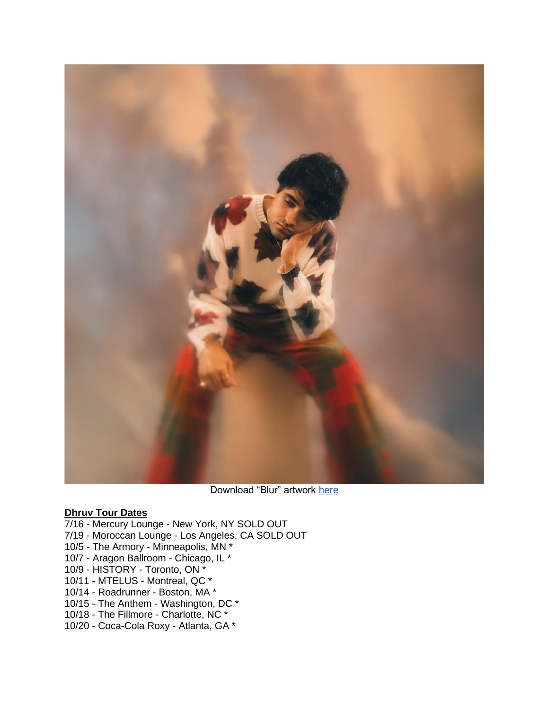

Download "Blur" artwork [here](https://eur01.safelinks.protection.outlook.com/?url=https%3A%2F%2Fdrive.google.com%2Ffile%2Fd%2F1emHCAGJ_3LqPzZFXvaG80Uq4v6HE6iX2%2Fview%3Fusp%3Dsharing&data=05%7C01%7Cnoelle.janasiewicz.sme%40sonymusic.com%7C03fb8e6adb2047b0260108da54735ed1%7Cf0aff3b791a54aaeaf71c63e1dda2049%7C0%7C0%7C637915151730964321%7CUnknown%7CTWFpbGZsb3d8eyJWIjoiMC4wLjAwMDAiLCJQIjoiV2luMzIiLCJBTiI6Ik1haWwiLCJXVCI6Mn0%3D%7C3000%7C%7C%7C&sdata=fL3OK85aNw9nhclS7RY4RMreU4Nc2ArCXxvUmTzxvhM%3D&reserved=0)

#### **Dhruv Tour Dates**

7/16 - Mercury Lounge - New York, NY SOLD OUT 7/19 - Moroccan Lounge - Los Angeles, CA SOLD OUT 10/5 - The Armory - Minneapolis, MN \* 10/7 - Aragon Ballroom - Chicago, IL \* 10/9 - HISTORY - Toronto, ON \* 10/11 - MTELUS - Montreal, QC \* 10/14 - Roadrunner - Boston, MA \* 10/15 - The Anthem - Washington, DC \* 10/18 - The Fillmore - Charlotte, NC \*

10/20 - Coca-Cola Roxy - Atlanta, GA \*